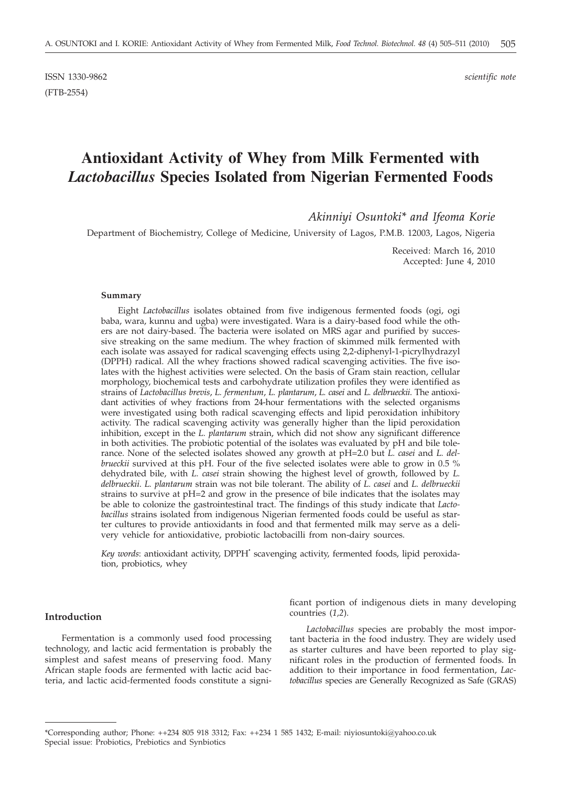ISSN 1330-9862 *scientific note* (FTB-2554)

# **Antioxidant Activity of Whey from Milk Fermented with** *Lactobacillus* **Species Isolated from Nigerian Fermented Foods**

*Akinniyi Osuntoki\* and Ifeoma Korie*

Department of Biochemistry, College of Medicine, University of Lagos, P.M.B. 12003, Lagos, Nigeria

Received: March 16, 2010 Accepted: June 4, 2010

## **Summary**

Eight *Lactobacillus* isolates obtained from five indigenous fermented foods (ogi, ogi baba, wara, kunnu and ugba) were investigated. Wara is a dairy-based food while the others are not dairy-based. The bacteria were isolated on MRS agar and purified by successive streaking on the same medium. The whey fraction of skimmed milk fermented with each isolate was assayed for radical scavenging effects using 2,2-diphenyl-1-picrylhydrazyl (DPPH) radical. All the whey fractions showed radical scavenging activities. The five isolates with the highest activities were selected. On the basis of Gram stain reaction, cellular morphology, biochemical tests and carbohydrate utilization profiles they were identified as strains of *Lactobacillus brevis*, *L. fermentum*, *L. plantarum*, *L. casei* and *L. delbrueckii*. The antioxidant activities of whey fractions from 24-hour fermentations with the selected organisms were investigated using both radical scavenging effects and lipid peroxidation inhibitory activity. The radical scavenging activity was generally higher than the lipid peroxidation inhibition, except in the *L. plantarum* strain, which did not show any significant difference in both activities. The probiotic potential of the isolates was evaluated by pH and bile tolerance. None of the selected isolates showed any growth at pH=2.0 but *L. casei* and *L. delbrueckii* survived at this pH. Four of the five selected isolates were able to grow in 0.5 % dehydrated bile, with *L. casei* strain showing the highest level of growth, followed by *L. delbrueckii*. *L. plantarum* strain was not bile tolerant. The ability of *L. casei* and *L. delbrueckii* strains to survive at pH=2 and grow in the presence of bile indicates that the isolates may be able to colonize the gastrointestinal tract. The findings of this study indicate that *Lactobacillus* strains isolated from indigenous Nigerian fermented foods could be useful as starter cultures to provide antioxidants in food and that fermented milk may serve as a delivery vehicle for antioxidative, probiotic lactobacilli from non-dairy sources.

*Key words*: antioxidant activity, DPPH**·** scavenging activity, fermented foods, lipid peroxidation, probiotics, whey

## **Introduction**

Fermentation is a commonly used food processing technology, and lactic acid fermentation is probably the simplest and safest means of preserving food. Many African staple foods are fermented with lactic acid bacteria, and lactic acid-fermented foods constitute a signi-

ficant portion of indigenous diets in many developing countries (*1,2*).

*Lactobacillus* species are probably the most important bacteria in the food industry. They are widely used as starter cultures and have been reported to play significant roles in the production of fermented foods. In addition to their importance in food fermentation, *Lactobacillus* species are Generally Recognized as Safe (GRAS)

<sup>\*</sup>Corresponding author; Phone: ++234 805 918 3312; Fax: ++234 1 585 1432; E-mail: niyiosuntoki@yahoo.co.uk Special issue: Probiotics, Prebiotics and Synbiotics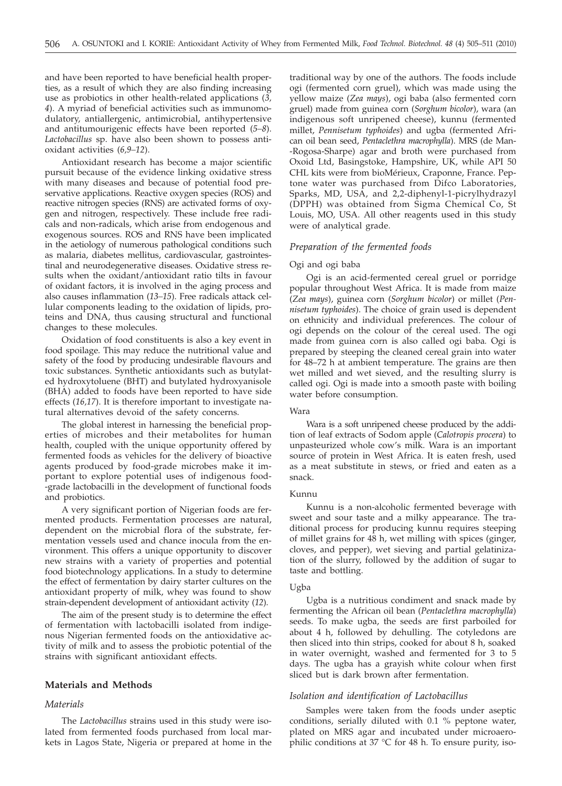and have been reported to have beneficial health properties, as a result of which they are also finding increasing use as probiotics in other health-related applications (*3, 4*). A myriad of beneficial activities such as immunomodulatory, antiallergenic, antimicrobial, antihypertensive and antitumourigenic effects have been reported (*5–8*). *Lactobacillus* sp. have also been shown to possess antioxidant activities (*6,9–12*).

Antioxidant research has become a major scientific pursuit because of the evidence linking oxidative stress with many diseases and because of potential food preservative applications. Reactive oxygen species (ROS) and reactive nitrogen species (RNS) are activated forms of oxygen and nitrogen, respectively. These include free radicals and non-radicals, which arise from endogenous and exogenous sources. ROS and RNS have been implicated in the aetiology of numerous pathological conditions such as malaria, diabetes mellitus, cardiovascular, gastrointestinal and neurodegenerative diseases. Oxidative stress results when the oxidant/antioxidant ratio tilts in favour of oxidant factors, it is involved in the aging process and also causes inflammation (*13–15*). Free radicals attack cellular components leading to the oxidation of lipids, proteins and DNA, thus causing structural and functional changes to these molecules.

Oxidation of food constituents is also a key event in food spoilage. This may reduce the nutritional value and safety of the food by producing undesirable flavours and toxic substances. Synthetic antioxidants such as butylated hydroxytoluene (BHT) and butylated hydroxyanisole (BHA) added to foods have been reported to have side effects (*16,17*). It is therefore important to investigate natural alternatives devoid of the safety concerns.

The global interest in harnessing the beneficial properties of microbes and their metabolites for human health, coupled with the unique opportunity offered by fermented foods as vehicles for the delivery of bioactive agents produced by food-grade microbes make it important to explore potential uses of indigenous food- -grade lactobacilli in the development of functional foods and probiotics.

A very significant portion of Nigerian foods are fermented products. Fermentation processes are natural, dependent on the microbial flora of the substrate, fermentation vessels used and chance inocula from the environment. This offers a unique opportunity to discover new strains with a variety of properties and potential food biotechnology applications. In a study to determine the effect of fermentation by dairy starter cultures on the antioxidant property of milk, whey was found to show strain-dependent development of antioxidant activity (*12*).

The aim of the present study is to determine the effect of fermentation with lactobacilli isolated from indigenous Nigerian fermented foods on the antioxidative activity of milk and to assess the probiotic potential of the strains with significant antioxidant effects.

# **Materials and Methods**

#### *Materials*

The *Lactobacillus* strains used in this study were isolated from fermented foods purchased from local markets in Lagos State, Nigeria or prepared at home in the

traditional way by one of the authors. The foods include ogi (fermented corn gruel), which was made using the yellow maize (*Zea mays*), ogi baba (also fermented corn gruel) made from guinea corn (*Sorghum bicolor*), wara (an indigenous soft unripened cheese), kunnu (fermented millet, *Pennisetum typhoides*) and ugba (fermented African oil bean seed, *Pentaclethra macrophylla*). MRS (de Man- -Rogosa-Sharpe) agar and broth were purchased from Oxoid Ltd, Basingstoke, Hampshire, UK, while API 50 CHL kits were from bioMérieux, Craponne, France. Peptone water was purchased from Difco Laboratories, Sparks, MD, USA, and 2,2-diphenyl-1-picrylhydrazyl (DPPH) was obtained from Sigma Chemical Co, St Louis, MO, USA. All other reagents used in this study were of analytical grade.

### *Preparation of the fermented foods*

#### Ogi and ogi baba

Ogi is an acid-fermented cereal gruel or porridge popular throughout West Africa. It is made from maize (*Zea mays*), guinea corn (*Sorghum bicolor*) or millet (*Pennisetum typhoides*). The choice of grain used is dependent on ethnicity and individual preferences. The colour of ogi depends on the colour of the cereal used. The ogi made from guinea corn is also called ogi baba*.* Ogi is prepared by steeping the cleaned cereal grain into water for 48–72 h at ambient temperature. The grains are then wet milled and wet sieved, and the resulting slurry is called ogi. Ogi is made into a smooth paste with boiling water before consumption.

## Wara

Wara is a soft unripened cheese produced by the addition of leaf extracts of Sodom apple (*Calotropis procera*) to unpasteurized whole cow's milk. Wara is an important source of protein in West Africa. It is eaten fresh, used as a meat substitute in stews, or fried and eaten as a snack.

### Kunnu

Kunnu is a non-alcoholic fermented beverage with sweet and sour taste and a milky appearance. The traditional process for producing kunnu requires steeping of millet grains for 48 h, wet milling with spices (ginger, cloves, and pepper), wet sieving and partial gelatinization of the slurry, followed by the addition of sugar to taste and bottling.

#### Ugba

Ugba is a nutritious condiment and snack made by fermenting the African oil bean (*Pentaclethra macrophylla*) seeds. To make ugba, the seeds are first parboiled for about 4 h, followed by dehulling. The cotyledons are then sliced into thin strips, cooked for about 8 h, soaked in water overnight, washed and fermented for 3 to 5 days. The ugba has a grayish white colour when first sliced but is dark brown after fermentation.

#### *Isolation and identification of Lactobacillus*

Samples were taken from the foods under aseptic conditions, serially diluted with 0.1 % peptone water, plated on MRS agar and incubated under microaerophilic conditions at 37 °C for 48 h. To ensure purity, iso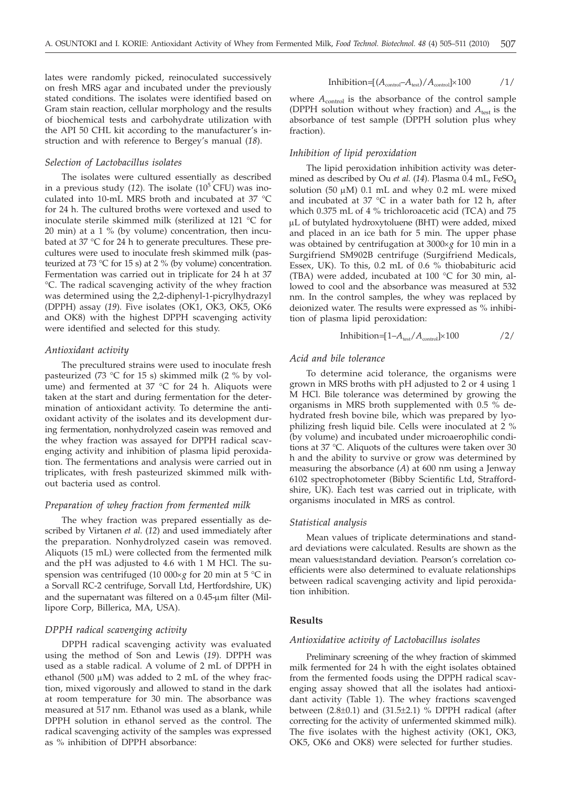lates were randomly picked, reinoculated successively on fresh MRS agar and incubated under the previously stated conditions. The isolates were identified based on Gram stain reaction, cellular morphology and the results of biochemical tests and carbohydrate utilization with the API 50 CHL kit according to the manufacturer's instruction and with reference to Bergey's manual (*18*).

### *Selection of Lactobacillus isolates*

The isolates were cultured essentially as described in a previous study  $(12)$ . The isolate  $(10^5$  CFU) was inoculated into 10-mL MRS broth and incubated at 37 °C for 24 h. The cultured broths were vortexed and used to inoculate sterile skimmed milk (sterilized at 121 °C for 20 min) at a 1 % (by volume) concentration, then incubated at 37 °C for 24 h to generate precultures. These precultures were used to inoculate fresh skimmed milk (pasteurized at 73  $\degree$ C for 15 s) at 2  $\degree$  (by volume) concentration. Fermentation was carried out in triplicate for 24 h at 37 °C. The radical scavenging activity of the whey fraction was determined using the 2,2-diphenyl-1-picrylhydrazyl (DPPH) assay (*19*). Five isolates (OK1, OK3, OK5, OK6 and OK8) with the highest DPPH scavenging activity were identified and selected for this study.

## *Antioxidant activity*

The precultured strains were used to inoculate fresh pasteurized (73 °C for 15 s) skimmed milk (2 % by volume) and fermented at 37 °C for 24 h. Aliquots were taken at the start and during fermentation for the determination of antioxidant activity. To determine the antioxidant activity of the isolates and its development during fermentation, nonhydrolyzed casein was removed and the whey fraction was assayed for DPPH radical scavenging activity and inhibition of plasma lipid peroxidation. The fermentations and analysis were carried out in triplicates, with fresh pasteurized skimmed milk without bacteria used as control.

# *Preparation of whey fraction from fermented milk*

The whey fraction was prepared essentially as described by Virtanen *et al.* (*12*) and used immediately after the preparation. Nonhydrolyzed casein was removed. Aliquots (15 mL) were collected from the fermented milk and the pH was adjusted to 4.6 with 1 M HCl. The suspension was centrifuged (10 000 $\times$ *g* for 20 min at 5 °C in a Sorvall RC-2 centrifuge, Sorvall Ltd, Hertfordshire, UK) and the supernatant was filtered on a  $0.45$ - $\mu$ m filter (Millipore Corp, Billerica, MA, USA).

## *DPPH radical scavenging activity*

DPPH radical scavenging activity was evaluated using the method of Son and Lewis (*19*). DPPH was used as a stable radical. A volume of 2 mL of DPPH in ethanol (500  $\mu$ M) was added to 2 mL of the whey fraction, mixed vigorously and allowed to stand in the dark at room temperature for 30 min. The absorbance was measured at 517 nm. Ethanol was used as a blank, while DPPH solution in ethanol served as the control. The radical scavenging activity of the samples was expressed as % inhibition of DPPH absorbance:

$$
Inhibition=[(A_{\text{control}}-A_{\text{test}})/A_{\text{control}}]\times100
$$

where  $A_{control}$  is the absorbance of the control sample (DPPH solution without whey fraction) and  $A_{test}$  is the absorbance of test sample (DPPH solution plus whey fraction).

## *Inhibition of lipid peroxidation*

The lipid peroxidation inhibition activity was determined as described by Ou *et al*. (*14*). Plasma 0.4 mL, FeSO4 solution (50  $\mu$ M) 0.1 mL and whey 0.2 mL were mixed and incubated at 37 °C in a water bath for 12 h, after which 0.375 mL of 4 % trichloroacetic acid (TCA) and 75 mL of butylated hydroxytoluene (BHT) were added, mixed and placed in an ice bath for 5 min. The upper phase was obtained by centrifugation at 3000×g for 10 min in a Surgifriend SM902B centrifuge (Surgifriend Medicals, Essex, UK). To this, 0.2 mL of 0.6 % thiobabituric acid (TBA) were added, incubated at 100 °C for 30 min, allowed to cool and the absorbance was measured at 532 nm. In the control samples, the whey was replaced by deionized water. The results were expressed as % inhibition of plasma lipid peroxidation:

$$
Inhibition=[1-Atest/Acontrol] \times 100
$$
 /2/

#### *Acid and bile tolerance*

To determine acid tolerance, the organisms were grown in MRS broths with pH adjusted to 2 or 4 using 1 M HCl. Bile tolerance was determined by growing the organisms in MRS broth supplemented with 0.5 % dehydrated fresh bovine bile, which was prepared by lyophilizing fresh liquid bile. Cells were inoculated at 2 % (by volume) and incubated under microaerophilic conditions at 37 °C. Aliquots of the cultures were taken over 30 h and the ability to survive or grow was determined by measuring the absorbance (*A*) at 600 nm using a Jenway 6102 spectrophotometer (Bibby Scientific Ltd, Straffordshire, UK). Each test was carried out in triplicate, with organisms inoculated in MRS as control.

## *Statistical analysis*

Mean values of triplicate determinations and standard deviations were calculated. Results are shown as the mean values±standard deviation. Pearson's correlation coefficients were also determined to evaluate relationships between radical scavenging activity and lipid peroxidation inhibition.

# **Results**

## *Antioxidative activity of Lactobacillus isolates*

Preliminary screening of the whey fraction of skimmed milk fermented for 24 h with the eight isolates obtained from the fermented foods using the DPPH radical scavenging assay showed that all the isolates had antioxidant activity (Table 1). The whey fractions scavenged between  $(2.8\pm0.1)$  and  $(31.5\pm2.1)$  % DPPH radical (after correcting for the activity of unfermented skimmed milk). The five isolates with the highest activity (OK1, OK3, OK5, OK6 and OK8) were selected for further studies.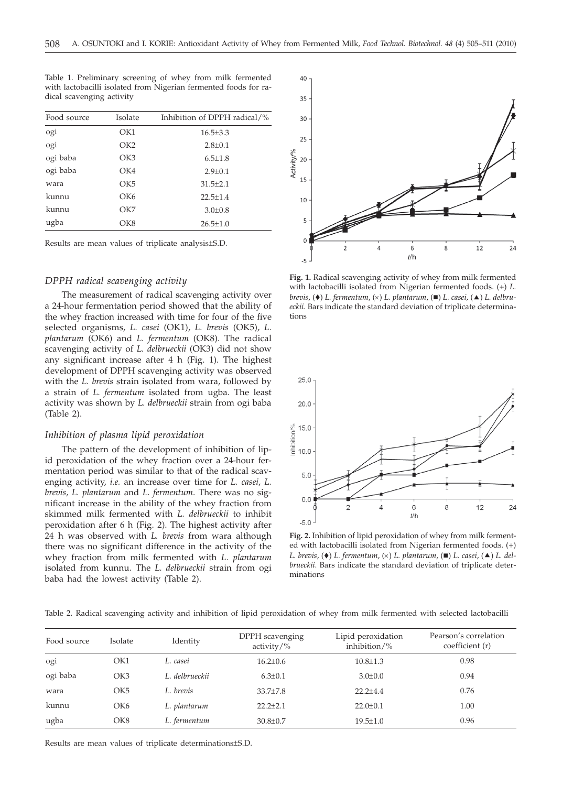| Food source<br>Isolate |                 | Inhibition of DPPH radical/% |  |  |  |
|------------------------|-----------------|------------------------------|--|--|--|
| ogi                    | OK1             | $16.5 \pm 3.3$               |  |  |  |
| ogi                    | OK <sub>2</sub> | $2.8 \pm 0.1$                |  |  |  |
| ogi baba               | OK3             | $6.5 \pm 1.8$                |  |  |  |
| ogi baba               | OK4             | $2.9 \pm 0.1$                |  |  |  |
| wara                   | CK5             | $31.5 \pm 2.1$               |  |  |  |
| kunnu                  | OK <sub>6</sub> | $22.5 + 1.4$                 |  |  |  |
| kunnu                  | OK7             | $3.0 \pm 0.8$                |  |  |  |
| ugba                   | OK8             | $26.5 \pm 1.0$               |  |  |  |

Table 1. Preliminary screening of whey from milk fermented with lactobacilli isolated from Nigerian fermented foods for radical scavenging activity

Results are mean values of triplicate analysis±S.D.

## *DPPH radical scavenging activity*

The measurement of radical scavenging activity over a 24-hour fermentation period showed that the ability of the whey fraction increased with time for four of the five selected organisms, *L. casei* (OK1), *L. brevis* (OK5), *L. plantarum* (OK6) and *L. fermentum* (OK8). The radical scavenging activity of *L. delbrueckii* (OK3) did not show any significant increase after 4 h (Fig. 1). The highest development of DPPH scavenging activity was observed with the *L. brevis* strain isolated from wara, followed by a strain of *L. fermentum* isolated from ugba*.* The least activity was shown by *L. delbrueckii* strain from ogi baba (Table 2).

## *Inhibition of plasma lipid peroxidation*

The pattern of the development of inhibition of lipid peroxidation of the whey fraction over a 24-hour fermentation period was similar to that of the radical scavenging activity, *i.e.* an increase over time for *L. casei*, *L. brevis, L. plantarum* and *L. fermentum*. There was no significant increase in the ability of the whey fraction from skimmed milk fermented with *L. delbrueckii* to inhibit peroxidation after 6 h (Fig. 2). The highest activity after 24 h was observed with *L. brevis* from wara although there was no significant difference in the activity of the whey fraction from milk fermented with *L. plantarum* isolated from kunnu. The *L. delbrueckii* strain from ogi baba had the lowest activity (Table 2).



**Fig. 1.** Radical scavenging activity of whey from milk fermented with lactobacilli isolated from Nigerian fermented foods. (+) *L. brevis*,  $(\bullet)$  *L. fermentum,*  $(\times)$  *L. plantarum,*  $(\blacksquare)$  *L. casei*,  $(\blacktriangle)$  *L. delbru-*<br>eckij. Bars indicate the standard deviation of triplicate determina*eckii*. Bars indicate the standard deviation of triplicate determinations



**Fig. 2.** Inhibition of lipid peroxidation of whey from milk fermented with lactobacilli isolated from Nigerian fermented foods. (+) *L. brevis*,  $(\bullet)$  *L. fermentum*,  $(\times)$  *L. plantarum*,  $(\blacksquare)$  *L. casei*,  $(\blacktriangle)$  *L. del-*<br>*brueckii.* Bars indicate the standard deviation of triplicate deter*brueckii*. Bars indicate the standard deviation of triplicate determinations

| Table 2. Radical scavenging activity and inhibition of lipid peroxidation of whey from milk fermented with selected lactobacilli |  |  |  |  |  |  |  |  |  |  |
|----------------------------------------------------------------------------------------------------------------------------------|--|--|--|--|--|--|--|--|--|--|
|----------------------------------------------------------------------------------------------------------------------------------|--|--|--|--|--|--|--|--|--|--|

| Food source | Isolate         | Identity       | DPPH scavenging<br>activity/ $\%$ | Lipid peroxidation<br>inhibition/% | Pearson's correlation<br>coefficient (r) |
|-------------|-----------------|----------------|-----------------------------------|------------------------------------|------------------------------------------|
| ogi         | OK1             | L. casei       | $16.2 \pm 0.6$                    | $10.8 \pm 1.3$                     | 0.98                                     |
| ogi baba    | OK3             | L. delbrueckii | $6.3 \pm 0.1$                     | $3.0 \pm 0.0$                      | 0.94                                     |
| wara        | OK <sub>5</sub> | L. brevis      | $33.7 \pm 7.8$                    | $22.2 \pm 4.4$                     | 0.76                                     |
| kunnu       | OK <sub>6</sub> | L. plantarum   | $22.2 \pm 2.1$                    | $22.0 \pm 0.1$                     | 1.00                                     |
| ugba        | OK8             | L. fermentum   | $30.8 \pm 0.7$                    | $19.5 \pm 1.0$                     | 0.96                                     |
|             |                 |                |                                   |                                    |                                          |

Results are mean values of triplicate determinations±S.D.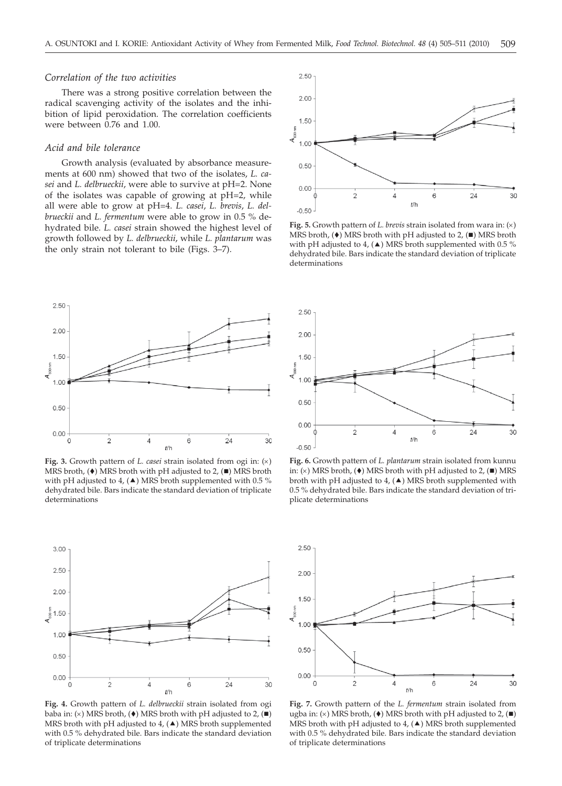## *Correlation of the two activities*

There was a strong positive correlation between the radical scavenging activity of the isolates and the inhibition of lipid peroxidation. The correlation coefficients were between 0.76 and 1.00.

#### *Acid and bile tolerance*

Growth analysis (evaluated by absorbance measurements at 600 nm) showed that two of the isolates, *L. casei* and *L. delbrueckii*, were able to survive at pH=2. None of the isolates was capable of growing at pH=2, while all were able to grow at pH=4. *L. casei*, *L. brevis*, *L. delbrueckii* and *L. fermentum* were able to grow in 0.5 % dehydrated bile. *L. casei* strain showed the highest level of growth followed by *L. delbrueckii*, while *L. plantarum* was the only strain not tolerant to bile (Figs. 3–7).



**Fig. 5.** Growth pattern of *L. brevis* strain isolated from wara in:  $(x)$ MRS broth,  $(\bullet)$  MRS broth with pH adjusted to 2,  $(\blacksquare)$  MRS broth with pH adjusted to 4, ( $\blacktriangle$ ) MRS broth supplemented with 0.5 % dehydrated bile. Bars indicate the standard deviation of triplicate determinations



**Fig. 3.** Growth pattern of *L. casei* strain isolated from ogi in:  $(x)$ MRS broth,  $(\bullet)$  MRS broth with pH adjusted to 2,  $(\blacksquare)$  MRS broth with pH adjusted to 4,  $(\triangle)$  MRS broth supplemented with 0.5 % dehydrated bile. Bars indicate the standard deviation of triplicate determinations



**Fig. 4.** Growth pattern of *L. delbrueckii* strain isolated from ogi baba in: (×) MRS broth, (♦) MRS broth with pH adjusted to 2, (■) MRS hroth with pH adjusted to 4. (▲) MRS broth supplemented MRS broth with pH adjusted to 4,  $(\triangle)$  MRS broth supplemented with 0.5 % dehydrated bile. Bars indicate the standard deviation of triplicate determinations



**Fig. 6.** Growth pattern of *L. plantarum* strain isolated from kunnu in: (×) MRS broth, (♦) MRS broth with pH adjusted to 2, (■) MRS<br>broth with pH adjusted to 4. (▲) MRS broth supplemented with broth with pH adjusted to  $4$ , ( $\triangle$ ) MRS broth supplemented with 0.5 % dehydrated bile. Bars indicate the standard deviation of triplicate determinations



**Fig. 7.** Growth pattern of the *L. fermentum* strain isolated from ugba in: (×) MRS broth, (♦) MRS broth with pH adjusted to 2, (■)<br>MRS broth with pH adjusted to 4. (▲) MRS broth supplemented MRS broth with pH adjusted to 4,  $(\triangle)$  MRS broth supplemented with 0.5 % dehydrated bile. Bars indicate the standard deviation of triplicate determinations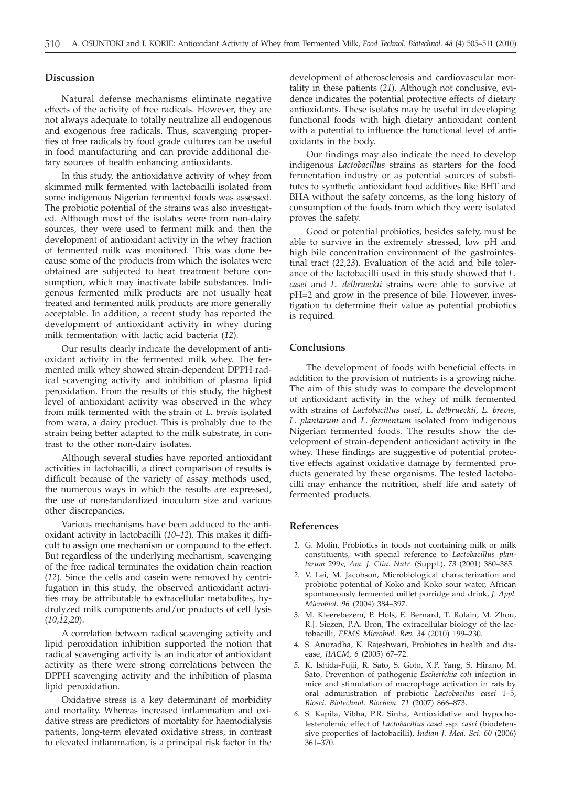# **Discussion**

Natural defense mechanisms eliminate negative effects of the activity of free radicals. However, they are not always adequate to totally neutralize all endogenous and exogenous free radicals. Thus, scavenging properties of free radicals by food grade cultures can be useful in food manufacturing and can provide additional dietary sources of health enhancing antioxidants.

In this study, the antioxidative activity of whey from skimmed milk fermented with lactobacilli isolated from some indigenous Nigerian fermented foods was assessed. The probiotic potential of the strains was also investigated. Although most of the isolates were from non-dairy sources, they were used to ferment milk and then the development of antioxidant activity in the whey fraction of fermented milk was monitored. This was done because some of the products from which the isolates were obtained are subjected to heat treatment before consumption, which may inactivate labile substances. Indigenous fermented milk products are not usually heat treated and fermented milk products are more generally acceptable. In addition, a recent study has reported the development of antioxidant activity in whey during milk fermentation with lactic acid bacteria (*12*).

Our results clearly indicate the development of antioxidant activity in the fermented milk whey. The fermented milk whey showed strain-dependent DPPH radical scavenging activity and inhibition of plasma lipid peroxidation. From the results of this study, the highest level of antioxidant activity was observed in the whey from milk fermented with the strain of *L. brevis* isolated from wara, a dairy product. This is probably due to the strain being better adapted to the milk substrate, in contrast to the other non-dairy isolates.

Although several studies have reported antioxidant activities in lactobacilli, a direct comparison of results is difficult because of the variety of assay methods used, the numerous ways in which the results are expressed, the use of nonstandardized inoculum size and various other discrepancies.

Various mechanisms have been adduced to the antioxidant activity in lactobacilli (*10–12*). This makes it difficult to assign one mechanism or compound to the effect. But regardless of the underlying mechanism, scavenging of the free radical terminates the oxidation chain reaction (*12*). Since the cells and casein were removed by centrifugation in this study, the observed antioxidant activities may be attributable to extracellular metabolites, hydrolyzed milk components and/or products of cell lysis (*10,12,20*).

A correlation between radical scavenging activity and lipid peroxidation inhibition supported the notion that radical scavenging activity is an indicator of antioxidant activity as there were strong correlations between the DPPH scavenging activity and the inhibition of plasma lipid peroxidation.

Oxidative stress is a key determinant of morbidity and mortality. Whereas increased inflammation and oxidative stress are predictors of mortality for haemodialysis patients, long-term elevated oxidative stress, in contrast to elevated inflammation, is a principal risk factor in the

development of atherosclerosis and cardiovascular mortality in these patients (*21*). Although not conclusive, evidence indicates the potential protective effects of dietary antioxidants. These isolates may be useful in developing functional foods with high dietary antioxidant content with a potential to influence the functional level of antioxidants in the body.

Our findings may also indicate the need to develop indigenous *Lactobacillus* strains as starters for the food fermentation industry or as potential sources of substitutes to synthetic antioxidant food additives like BHT and BHA without the safety concerns, as the long history of consumption of the foods from which they were isolated proves the safety.

Good or potential probiotics, besides safety, must be able to survive in the extremely stressed, low pH and high bile concentration environment of the gastrointestinal tract (*22,23*). Evaluation of the acid and bile tolerance of the lactobacilli used in this study showed that *L. casei* and *L. delbrueckii* strains were able to survive at pH=2 and grow in the presence of bile. However, investigation to determine their value as potential probiotics is required.

# **Conclusions**

The development of foods with beneficial effects in addition to the provision of nutrients is a growing niche. The aim of this study was to compare the development of antioxidant activity in the whey of milk fermented with strains of *Lactobacillus casei*, *L. delbrueckii*, *L. brevis*, *L. plantarum* and *L. fermentum* isolated from indigenous Nigerian fermented foods. The results show the development of strain-dependent antioxidant activity in the whey. These findings are suggestive of potential protective effects against oxidative damage by fermented products generated by these organisms. The tested lactobacilli may enhance the nutrition, shelf life and safety of fermented products.

### **References**

- *1.* G. Molin, Probiotics in foods not containing milk or milk constituents, with special reference to *Lactobacillus plantarum* 299v, *Am. J. Clin. Nutr.* (Suppl.), *73* (2001) 380–385.
- *2.* V. Lei, M. Jacobson, Microbiological characterization and probiotic potential of Koko and Koko sour water, African spontaneously fermented millet porridge and drink, *J. Appl. Microbiol*. *96* (2004) 384–397.
- *3.* M. Kleerebezem, P. Hols, E. Bernard, T. Rolain, M. Zhou, R.J. Siezen, P.A. Bron, The extracellular biology of the lactobacilli, *FEMS Microbiol. Rev. 34* (2010) 199–230.
- *4.* S. Anuradha, K. Rajeshwari, Probiotics in health and disease, *JIACM, 6* (2005) 67–72.
- *5.* K. Ishida-Fujii, R. Sato, S. Goto, X.P. Yang, S. Hirano, M. Sato, Prevention of pathogenic *Escherichia coli* infection in mice and stimulation of macrophage activation in rats by oral administration of probiotic *Lactobacilus casei* 1–5, *Biosci. Biotechnol. Biochem*. *71* (2007) 866–873.
- *6.* S. Kapila, Vibha, P.R. Sinha, Antioxidative and hypocholesterolemic effect of *Lactobacillus casei* ssp. *casei* (biodefensive properties of lactobacilli), *Indian J. Med. Sci*. *60* (2006) 361–370.